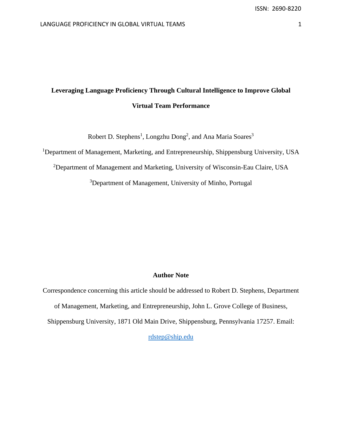# **Leveraging Language Proficiency Through Cultural Intelligence to Improve Global Virtual Team Performance**

Robert D. Stephens<sup>1</sup>, Longzhu Dong<sup>2</sup>, and Ana Maria Soares<sup>3</sup>

<sup>1</sup>Department of Management, Marketing, and Entrepreneurship, Shippensburg University, USA

<sup>2</sup>Department of Management and Marketing, University of Wisconsin-Eau Claire, USA

<sup>3</sup>Department of Management, University of Minho, Portugal

# **Author Note**

Correspondence concerning this article should be addressed to Robert D. Stephens, Department of Management, Marketing, and Entrepreneurship, John L. Grove College of Business, Shippensburg University, 1871 Old Main Drive, Shippensburg, Pennsylvania 17257. Email:

[rdstep@ship.edu](mailto:rdstep@ship.edu)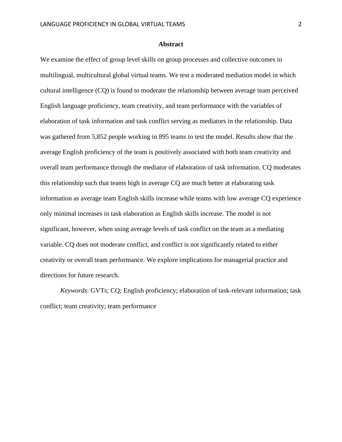# **Abstract**

We examine the effect of group level skills on group processes and collective outcomes in multilingual, multicultural global virtual teams. We test a moderated mediation model in which cultural intelligence (CQ) is found to moderate the relationship between average team perceived English language proficiency, team creativity, and team performance with the variables of elaboration of task information and task conflict serving as mediators in the relationship. Data was gathered from 5,852 people working in 895 teams to test the model. Results show that the average English proficiency of the team is positively associated with both team creativity and overall team performance through the mediator of elaboration of task information. CQ moderates this relationship such that teams high in average CQ are much better at elaborating task information as average team English skills increase while teams with low average CQ experience only minimal increases in task elaboration as English skills increase. The model is not significant, however, when using average levels of task conflict on the team as a mediating variable. CQ does not moderate conflict, and conflict is not significantly related to either creativity or overall team performance. We explore implications for managerial practice and directions for future research.

*Keywords*: GVTs; CQ; English proficiency; elaboration of task-relevant information; task conflict; team creativity; team performance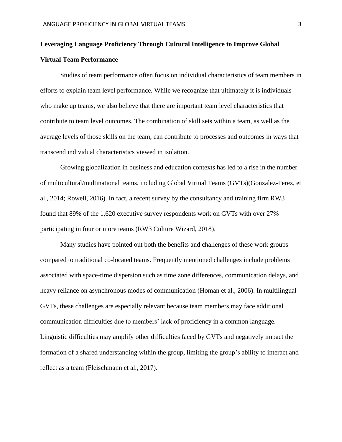# **Leveraging Language Proficiency Through Cultural Intelligence to Improve Global Virtual Team Performance**

Studies of team performance often focus on individual characteristics of team members in efforts to explain team level performance. While we recognize that ultimately it is individuals who make up teams, we also believe that there are important team level characteristics that contribute to team level outcomes. The combination of skill sets within a team, as well as the average levels of those skills on the team, can contribute to processes and outcomes in ways that transcend individual characteristics viewed in isolation.

Growing globalization in business and education contexts has led to a rise in the number of multicultural/multinational teams, including Global Virtual Teams (GVTs)(Gonzalez-Perez, et al., 2014; Rowell, 2016). In fact, a recent survey by the consultancy and training firm RW3 found that 89% of the 1,620 executive survey respondents work on GVTs with over 27% participating in four or more teams (RW3 Culture Wizard, 2018).

Many studies have pointed out both the benefits and challenges of these work groups compared to traditional co-located teams. Frequently mentioned challenges include problems associated with space-time dispersion such as time zone differences, communication delays, and heavy reliance on asynchronous modes of communication (Homan et al., 2006). In multilingual GVTs, these challenges are especially relevant because team members may face additional communication difficulties due to members' lack of proficiency in a common language. Linguistic difficulties may amplify other difficulties faced by GVTs and negatively impact the formation of a shared understanding within the group, limiting the group's ability to interact and reflect as a team (Fleischmann et al., 2017).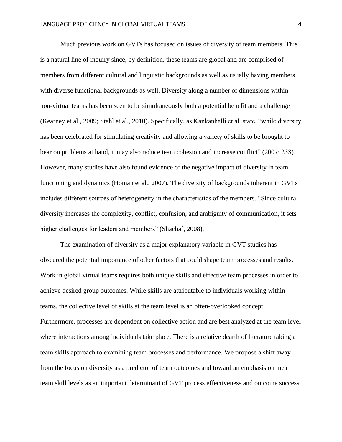Much previous work on GVTs has focused on issues of diversity of team members. This is a natural line of inquiry since, by definition, these teams are global and are comprised of members from different cultural and linguistic backgrounds as well as usually having members with diverse functional backgrounds as well. Diversity along a number of dimensions within non-virtual teams has been seen to be simultaneously both a potential benefit and a challenge (Kearney et al., 2009; Stahl et al., 2010). Specifically, as Kankanhalli et al. state, "while diversity has been celebrated for stimulating creativity and allowing a variety of skills to be brought to bear on problems at hand, it may also reduce team cohesion and increase conflict" (2007: 238). However, many studies have also found evidence of the negative impact of diversity in team functioning and dynamics (Homan et al., 2007). The diversity of backgrounds inherent in GVTs includes different sources of heterogeneity in the characteristics of the members. "Since cultural diversity increases the complexity, conflict, confusion, and ambiguity of communication, it sets higher challenges for leaders and members" (Shachaf, 2008).

The examination of diversity as a major explanatory variable in GVT studies has obscured the potential importance of other factors that could shape team processes and results. Work in global virtual teams requires both unique skills and effective team processes in order to achieve desired group outcomes. While skills are attributable to individuals working within teams, the collective level of skills at the team level is an often-overlooked concept. Furthermore, processes are dependent on collective action and are best analyzed at the team level where interactions among individuals take place. There is a relative dearth of literature taking a team skills approach to examining team processes and performance. We propose a shift away from the focus on diversity as a predictor of team outcomes and toward an emphasis on mean team skill levels as an important determinant of GVT process effectiveness and outcome success.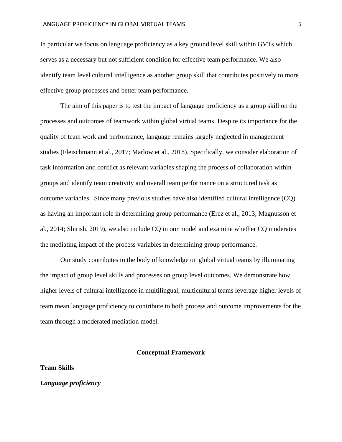In particular we focus on language proficiency as a key ground level skill within GVTs which serves as a necessary but not sufficient condition for effective team performance. We also identify team level cultural intelligence as another group skill that contributes positively to more effective group processes and better team performance.

The aim of this paper is to test the impact of language proficiency as a group skill on the processes and outcomes of teamwork within global virtual teams. Despite its importance for the quality of team work and performance, language remains largely neglected in management studies (Fleischmann et al., 2017; Marlow et al., 2018). Specifically, we consider elaboration of task information and conflict as relevant variables shaping the process of collaboration within groups and identify team creativity and overall team performance on a structured task as outcome variables. Since many previous studies have also identified cultural intelligence (CQ) as having an important role in determining group performance (Erez et al., 2013; Magnusson et al., 2014; Shirish, 2019), we also include CQ in our model and examine whether CQ moderates the mediating impact of the process variables in determining group performance.

Our study contributes to the body of knowledge on global virtual teams by illuminating the impact of group level skills and processes on group level outcomes. We demonstrate how higher levels of cultural intelligence in multilingual, multicultural teams leverage higher levels of team mean language proficiency to contribute to both process and outcome improvements for the team through a moderated mediation model.

#### **Conceptual Framework**

#### **Team Skills**

*Language proficiency*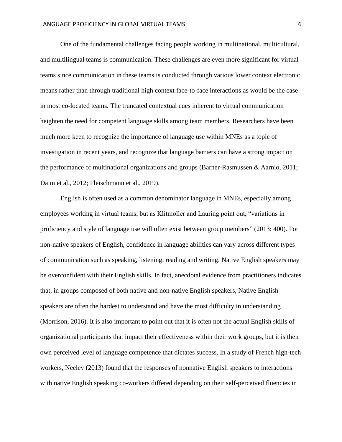One of the fundamental challenges facing people working in multinational, multicultural, and multilingual teams is communication. These challenges are even more significant for virtual teams since communication in these teams is conducted through various lower context electronic means rather than through traditional high context face-to-face interactions as would be the case in most co-located teams. The truncated contextual cues inherent to virtual communication heighten the need for competent language skills among team members. Researchers have been much more keen to recognize the importance of language use within MNEs as a topic of investigation in recent years, and recognize that language barriers can have a strong impact on the performance of multinational organizations and groups (Barner-Rasmussen & Aarnio, 2011; Daim et al., 2012; Fleischmann et al., 2019).

English is often used as a common denominator language in MNEs, especially among employees working in virtual teams, but as Klitmøller and Lauring point out, "variations in proficiency and style of language use will often exist between group members" (2013: 400). For non-native speakers of English, confidence in language abilities can vary across different types of communication such as speaking, listening, reading and writing. Native English speakers may be overconfident with their English skills. In fact, anecdotal evidence from practitioners indicates that, in groups composed of both native and non-native English speakers, Native English speakers are often the hardest to understand and have the most difficulty in understanding (Morrison, 2016). It is also important to point out that it is often not the actual English skills of organizational participants that impact their effectiveness within their work groups, but it is their own perceived level of language competence that dictates success. In a study of French high-tech workers, Neeley (2013) found that the responses of nonnative English speakers to interactions with native English speaking co-workers differed depending on their self-perceived fluencies in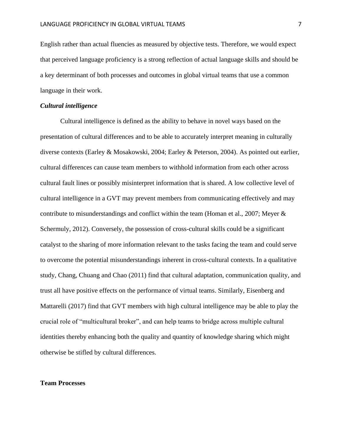English rather than actual fluencies as measured by objective tests. Therefore, we would expect that perceived language proficiency is a strong reflection of actual language skills and should be a key determinant of both processes and outcomes in global virtual teams that use a common language in their work.

# *Cultural intelligence*

Cultural intelligence is defined as the ability to behave in novel ways based on the presentation of cultural differences and to be able to accurately interpret meaning in culturally diverse contexts (Earley & Mosakowski, 2004; Earley & Peterson, 2004). As pointed out earlier, cultural differences can cause team members to withhold information from each other across cultural fault lines or possibly misinterpret information that is shared. A low collective level of cultural intelligence in a GVT may prevent members from communicating effectively and may contribute to misunderstandings and conflict within the team (Homan et al., 2007; Meyer & Schermuly, 2012). Conversely, the possession of cross-cultural skills could be a significant catalyst to the sharing of more information relevant to the tasks facing the team and could serve to overcome the potential misunderstandings inherent in cross-cultural contexts. In a qualitative study, Chang, Chuang and Chao (2011) find that cultural adaptation, communication quality, and trust all have positive effects on the performance of virtual teams. Similarly, Eisenberg and Mattarelli (2017) find that GVT members with high cultural intelligence may be able to play the crucial role of "multicultural broker", and can help teams to bridge across multiple cultural identities thereby enhancing both the quality and quantity of knowledge sharing which might otherwise be stifled by cultural differences.

# **Team Processes**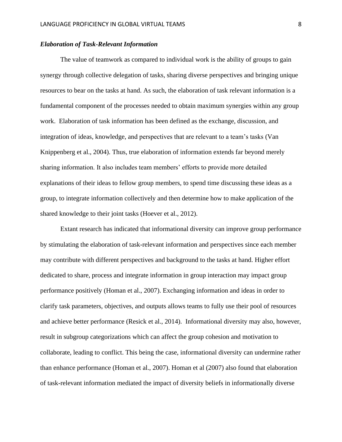# *Elaboration of Task-Relevant Information*

The value of teamwork as compared to individual work is the ability of groups to gain synergy through collective delegation of tasks, sharing diverse perspectives and bringing unique resources to bear on the tasks at hand. As such, the elaboration of task relevant information is a fundamental component of the processes needed to obtain maximum synergies within any group work. Elaboration of task information has been defined as the exchange, discussion, and integration of ideas, knowledge, and perspectives that are relevant to a team's tasks (Van Knippenberg et al., 2004). Thus, true elaboration of information extends far beyond merely sharing information. It also includes team members' efforts to provide more detailed explanations of their ideas to fellow group members, to spend time discussing these ideas as a group, to integrate information collectively and then determine how to make application of the shared knowledge to their joint tasks (Hoever et al., 2012).

Extant research has indicated that informational diversity can improve group performance by stimulating the elaboration of task-relevant information and perspectives since each member may contribute with different perspectives and background to the tasks at hand. Higher effort dedicated to share, process and integrate information in group interaction may impact group performance positively (Homan et al., 2007). Exchanging information and ideas in order to clarify task parameters, objectives, and outputs allows teams to fully use their pool of resources and achieve better performance (Resick et al., 2014). Informational diversity may also, however, result in subgroup categorizations which can affect the group cohesion and motivation to collaborate, leading to conflict. This being the case, informational diversity can undermine rather than enhance performance (Homan et al., 2007). Homan et al (2007) also found that elaboration of task-relevant information mediated the impact of diversity beliefs in informationally diverse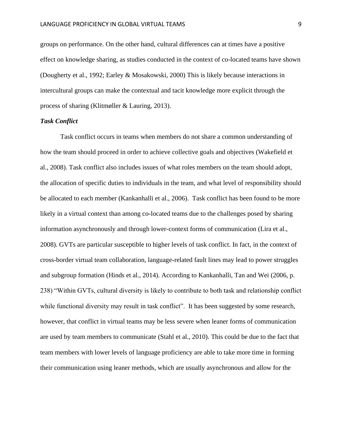groups on performance. On the other hand, cultural differences can at times have a positive effect on knowledge sharing, as studies conducted in the context of co-located teams have shown (Dougherty et al., 1992; Earley & Mosakowski, 2000) This is likely because interactions in intercultural groups can make the contextual and tacit knowledge more explicit through the process of sharing (Klitmøller & Lauring, 2013).

# *Task Conflict*

Task conflict occurs in teams when members do not share a common understanding of how the team should proceed in order to achieve collective goals and objectives (Wakefield et al., 2008). Task conflict also includes issues of what roles members on the team should adopt, the allocation of specific duties to individuals in the team, and what level of responsibility should be allocated to each member (Kankanhalli et al., 2006). Task conflict has been found to be more likely in a virtual context than among co-located teams due to the challenges posed by sharing information asynchronously and through lower-context forms of communication (Lira et al., 2008). GVTs are particular susceptible to higher levels of task conflict. In fact, in the context of cross-border virtual team collaboration, language-related fault lines may lead to power struggles and subgroup formation (Hinds et al., 2014). According to Kankanhalli, Tan and Wei (2006, p. 238) "Within GVTs, cultural diversity is likely to contribute to both task and relationship conflict while functional diversity may result in task conflict". It has been suggested by some research, however, that conflict in virtual teams may be less severe when leaner forms of communication are used by team members to communicate (Stahl et al., 2010). This could be due to the fact that team members with lower levels of language proficiency are able to take more time in forming their communication using leaner methods, which are usually asynchronous and allow for the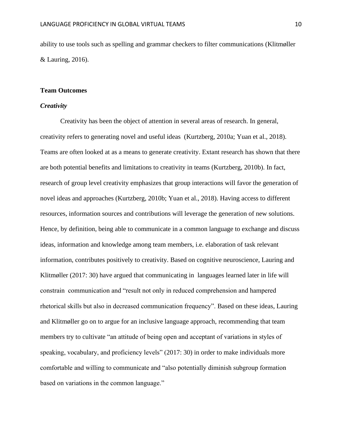ability to use tools such as spelling and grammar checkers to filter communications (Klitmøller & Lauring, 2016).

# **Team Outcomes**

# *Creativity*

Creativity has been the object of attention in several areas of research. In general, creativity refers to generating novel and useful ideas (Kurtzberg, 2010a; Yuan et al., 2018). Teams are often looked at as a means to generate creativity. Extant research has shown that there are both potential benefits and limitations to creativity in teams (Kurtzberg, 2010b). In fact, research of group level creativity emphasizes that group interactions will favor the generation of novel ideas and approaches (Kurtzberg, 2010b; Yuan et al., 2018). Having access to different resources, information sources and contributions will leverage the generation of new solutions. Hence, by definition, being able to communicate in a common language to exchange and discuss ideas, information and knowledge among team members, i.e. elaboration of task relevant information, contributes positively to creativity. Based on cognitive neuroscience, Lauring and Klitmøller (2017: 30) have argued that communicating in languages learned later in life will constrain communication and "result not only in reduced comprehension and hampered rhetorical skills but also in decreased communication frequency". Based on these ideas, Lauring and Klitmøller go on to argue for an inclusive language approach, recommending that team members try to cultivate "an attitude of being open and acceptant of variations in styles of speaking, vocabulary, and proficiency levels" (2017: 30) in order to make individuals more comfortable and willing to communicate and "also potentially diminish subgroup formation based on variations in the common language."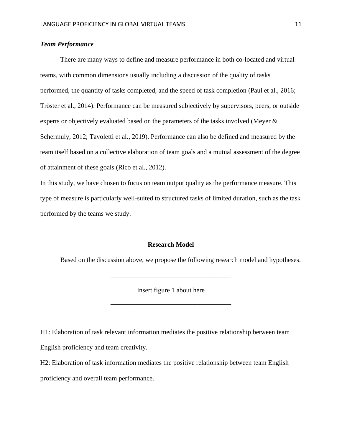# *Team Performance*

There are many ways to define and measure performance in both co-located and virtual teams, with common dimensions usually including a discussion of the quality of tasks performed, the quantity of tasks completed, and the speed of task completion (Paul et al., 2016; Tröster et al., 2014). Performance can be measured subjectively by supervisors, peers, or outside experts or objectively evaluated based on the parameters of the tasks involved (Meyer & Schermuly, 2012; Tavoletti et al., 2019). Performance can also be defined and measured by the team itself based on a collective elaboration of team goals and a mutual assessment of the degree of attainment of these goals (Rico et al., 2012).

In this study, we have chosen to focus on team output quality as the performance measure. This type of measure is particularly well-suited to structured tasks of limited duration, such as the task performed by the teams we study.

# **Research Model**

Based on the discussion above, we propose the following research model and hypotheses.

Insert figure 1 about here

\_\_\_\_\_\_\_\_\_\_\_\_\_\_\_\_\_\_\_\_\_\_\_\_\_\_\_\_\_\_\_\_\_\_\_\_

\_\_\_\_\_\_\_\_\_\_\_\_\_\_\_\_\_\_\_\_\_\_\_\_\_\_\_\_\_\_\_\_\_\_\_\_

H1: Elaboration of task relevant information mediates the positive relationship between team English proficiency and team creativity.

H2: Elaboration of task information mediates the positive relationship between team English proficiency and overall team performance.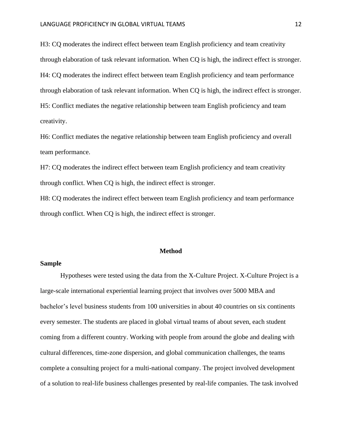H3: CQ moderates the indirect effect between team English proficiency and team creativity through elaboration of task relevant information. When CQ is high, the indirect effect is stronger. H4: CQ moderates the indirect effect between team English proficiency and team performance through elaboration of task relevant information. When CQ is high, the indirect effect is stronger. H5: Conflict mediates the negative relationship between team English proficiency and team creativity.

H6: Conflict mediates the negative relationship between team English proficiency and overall team performance.

H7: CQ moderates the indirect effect between team English proficiency and team creativity through conflict. When CQ is high, the indirect effect is stronger.

H8: CQ moderates the indirect effect between team English proficiency and team performance through conflict. When CQ is high, the indirect effect is stronger.

#### **Method**

### **Sample**

Hypotheses were tested using the data from the X-Culture Project. X-Culture Project is a large-scale international experiential learning project that involves over 5000 MBA and bachelor's level business students from 100 universities in about 40 countries on six continents every semester. The students are placed in global virtual teams of about seven, each student coming from a different country. Working with people from around the globe and dealing with cultural differences, time-zone dispersion, and global communication challenges, the teams complete a consulting project for a multi-national company. The project involved development of a solution to real-life business challenges presented by real-life companies. The task involved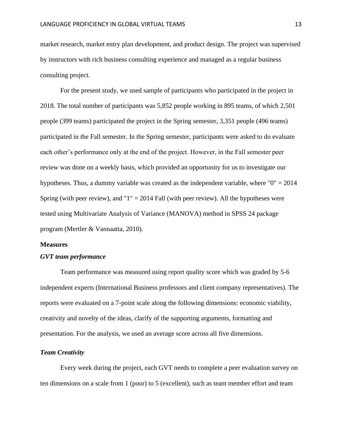market research, market entry plan development, and product design. The project was supervised by instructors with rich business consulting experience and managed as a regular business consulting project.

For the present study, we used sample of participants who participated in the project in 2018. The total number of participants was 5,852 people working in 895 teams, of which 2,501 people (399 teams) participated the project in the Spring semester, 3,351 people (496 teams) participated in the Fall semester. In the Spring semester, participants were asked to do evaluate each other's performance only at the end of the project. However, in the Fall semester peer review was done on a weekly basis, which provided an opportunity for us to investigate our hypotheses. Thus, a dummy variable was created as the independent variable, where "0" = 2014 Spring (with peer review), and " $1$ " = 2014 Fall (with peer review). All the hypotheses were tested using Multivariate Analysis of Variance (MANOVA) method in SPSS 24 package program (Mertler & Vannaatta, 2010).

#### **Measures**

#### *GVT team performance*

Team performance was measured using report quality score which was graded by 5-6 independent experts (International Business professors and client company representatives). The reports were evaluated on a 7-point scale along the following dimensions: economic viability, creativity and novelty of the ideas, clarify of the supporting arguments, formatting and presentation. For the analysis, we used an average score across all five dimensions.

#### *Team Creativity*

Every week during the project, each GVT needs to complete a peer evaluation survey on ten dimensions on a scale from 1 (poor) to 5 (excellent), such as team member effort and team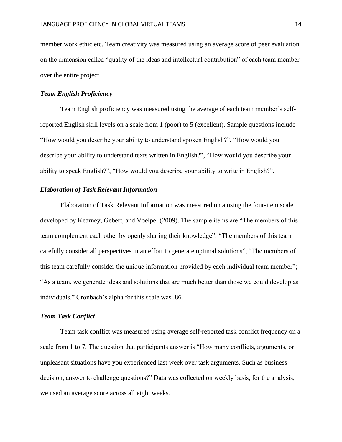member work ethic etc. Team creativity was measured using an average score of peer evaluation on the dimension called "quality of the ideas and intellectual contribution" of each team member over the entire project.

# *Team English Proficiency*

Team English proficiency was measured using the average of each team member's selfreported English skill levels on a scale from 1 (poor) to 5 (excellent). Sample questions include "How would you describe your ability to understand spoken English?", "How would you describe your ability to understand texts written in English?", "How would you describe your ability to speak English?", "How would you describe your ability to write in English?".

# *Elaboration of Task Relevant Information*

Elaboration of Task Relevant Information was measured on a using the four-item scale developed by Kearney, Gebert, and Voelpel (2009). The sample items are "The members of this team complement each other by openly sharing their knowledge"; "The members of this team carefully consider all perspectives in an effort to generate optimal solutions"; "The members of this team carefully consider the unique information provided by each individual team member"; "As a team, we generate ideas and solutions that are much better than those we could develop as individuals." Cronbach's alpha for this scale was .86.

# *Team Task Conflict*

Team task conflict was measured using average self-reported task conflict frequency on a scale from 1 to 7. The question that participants answer is "How many conflicts, arguments, or unpleasant situations have you experienced last week over task arguments, Such as business decision, answer to challenge questions?" Data was collected on weekly basis, for the analysis, we used an average score across all eight weeks.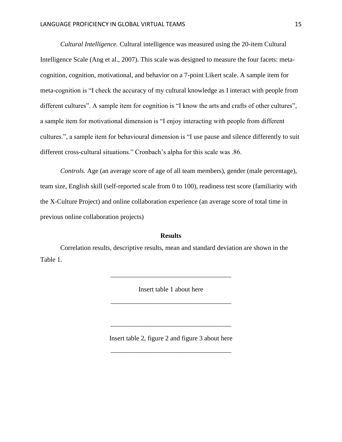*Cultural Intelligence.* Cultural intelligence was measured using the 20-item Cultural Intelligence Scale (Ang et al., 2007). This scale was designed to measure the four facets: metacognition, cognition, motivational, and behavior on a 7-point Likert scale. A sample item for meta-cognition is "I check the accuracy of my cultural knowledge as I interact with people from different cultures". A sample item for cognition is "I know the arts and crafts of other cultures", a sample item for motivational dimension is "I enjoy interacting with people from different cultures.", a sample item for behavioural dimension is "I use pause and silence differently to suit different cross-cultural situations." Cronbach's alpha for this scale was .86.

*Controls.* Age (an average score of age of all team members), gender (male percentage), team size, English skill (self-reported scale from 0 to 100), readiness test score (familiarity with the X-Culture Project) and online collaboration experience (an average score of total time in previous online collaboration projects)

# **Results**

Correlation results, descriptive results, mean and standard deviation are shown in the Table 1.

Insert table 1 about here

\_\_\_\_\_\_\_\_\_\_\_\_\_\_\_\_\_\_\_\_\_\_\_\_\_\_\_\_\_\_\_\_\_\_\_\_

\_\_\_\_\_\_\_\_\_\_\_\_\_\_\_\_\_\_\_\_\_\_\_\_\_\_\_\_\_\_\_\_\_\_\_\_

Insert table 2, figure 2 and figure 3 about here

\_\_\_\_\_\_\_\_\_\_\_\_\_\_\_\_\_\_\_\_\_\_\_\_\_\_\_\_\_\_\_\_\_\_\_\_

\_\_\_\_\_\_\_\_\_\_\_\_\_\_\_\_\_\_\_\_\_\_\_\_\_\_\_\_\_\_\_\_\_\_\_\_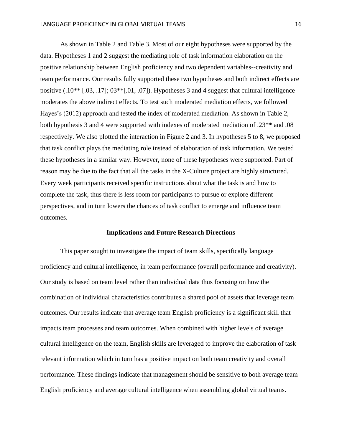As shown in Table 2 and Table 3. Most of our eight hypotheses were supported by the data. Hypotheses 1 and 2 suggest the mediating role of task information elaboration on the positive relationship between English proficiency and two dependent variables--creativity and team performance. Our results fully supported these two hypotheses and both indirect effects are positive (.10\*\* [.03, .17]; 03\*\*[.01, .07]). Hypotheses 3 and 4 suggest that cultural intelligence moderates the above indirect effects. To test such moderated mediation effects, we followed Hayes's (2012) approach and tested the index of moderated mediation. As shown in Table 2, both hypothesis 3 and 4 were supported with indexes of moderated mediation of .23\*\* and .08 respectively. We also plotted the interaction in Figure 2 and 3. In hypotheses 5 to 8, we proposed that task conflict plays the mediating role instead of elaboration of task information. We tested these hypotheses in a similar way. However, none of these hypotheses were supported. Part of reason may be due to the fact that all the tasks in the X-Culture project are highly structured. Every week participants received specific instructions about what the task is and how to complete the task, thus there is less room for participants to pursue or explore different perspectives, and in turn lowers the chances of task conflict to emerge and influence team outcomes.

#### **Implications and Future Research Directions**

This paper sought to investigate the impact of team skills, specifically language proficiency and cultural intelligence, in team performance (overall performance and creativity). Our study is based on team level rather than individual data thus focusing on how the combination of individual characteristics contributes a shared pool of assets that leverage team outcomes. Our results indicate that average team English proficiency is a significant skill that impacts team processes and team outcomes. When combined with higher levels of average cultural intelligence on the team, English skills are leveraged to improve the elaboration of task relevant information which in turn has a positive impact on both team creativity and overall performance. These findings indicate that management should be sensitive to both average team English proficiency and average cultural intelligence when assembling global virtual teams.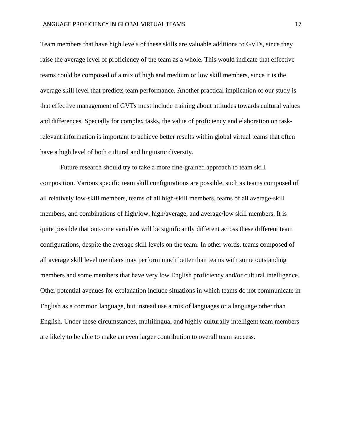Team members that have high levels of these skills are valuable additions to GVTs, since they raise the average level of proficiency of the team as a whole. This would indicate that effective teams could be composed of a mix of high and medium or low skill members, since it is the average skill level that predicts team performance. Another practical implication of our study is that effective management of GVTs must include training about attitudes towards cultural values and differences. Specially for complex tasks, the value of proficiency and elaboration on taskrelevant information is important to achieve better results within global virtual teams that often have a high level of both cultural and linguistic diversity.

Future research should try to take a more fine-grained approach to team skill composition. Various specific team skill configurations are possible, such as teams composed of all relatively low-skill members, teams of all high-skill members, teams of all average-skill members, and combinations of high/low, high/average, and average/low skill members. It is quite possible that outcome variables will be significantly different across these different team configurations, despite the average skill levels on the team. In other words, teams composed of all average skill level members may perform much better than teams with some outstanding members and some members that have very low English proficiency and/or cultural intelligence. Other potential avenues for explanation include situations in which teams do not communicate in English as a common language, but instead use a mix of languages or a language other than English. Under these circumstances, multilingual and highly culturally intelligent team members are likely to be able to make an even larger contribution to overall team success.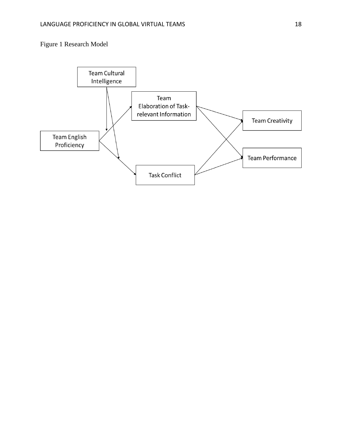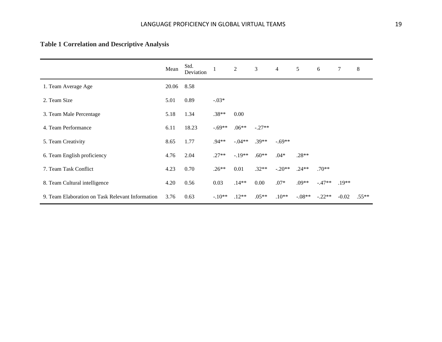# **Table 1 Correlation and Descriptive Analysis**

|                                                  | Mean  | Std.<br>Deviation |          | $\overline{2}$ | $\overline{3}$ | $\overline{4}$ | 5        | 6        | 7       | 8        |
|--------------------------------------------------|-------|-------------------|----------|----------------|----------------|----------------|----------|----------|---------|----------|
| 1. Team Average Age                              | 20.06 | 8.58              |          |                |                |                |          |          |         |          |
| 2. Team Size                                     | 5.01  | 0.89              | $-.03*$  |                |                |                |          |          |         |          |
| 3. Team Male Percentage                          | 5.18  | 1.34              | $.38**$  | 0.00           |                |                |          |          |         |          |
| 4. Team Performance                              | 6.11  | 18.23             | $-.69**$ | $.06**$        | $-.27**$       |                |          |          |         |          |
| 5. Team Creativity                               | 8.65  | 1.77              | $.94**$  | $-0.04**$      | $.39**$        | $-.69**$       |          |          |         |          |
| 6. Team English proficiency                      | 4.76  | 2.04              | $.27**$  | $-.19**$       | $.60**$        | $.04*$         | $.28**$  |          |         |          |
| 7. Team Task Conflict                            | 4.23  | 0.70              | $.26**$  | 0.01           | $.32**$        | $-.20**$       | $.24**$  | $.70**$  |         |          |
| 8. Team Cultural intelligence                    | 4.20  | 0.56              | 0.03     | $.14**$        | 0.00           | $.07*$         | $.09**$  | $-.47**$ | $.19**$ |          |
| 9. Team Elaboration on Task Relevant Information | 3.76  | 0.63              | $-.10**$ | $.12**$        | $.05**$        | $.10**$        | $-.08**$ | $-.22**$ | $-0.02$ | $.55***$ |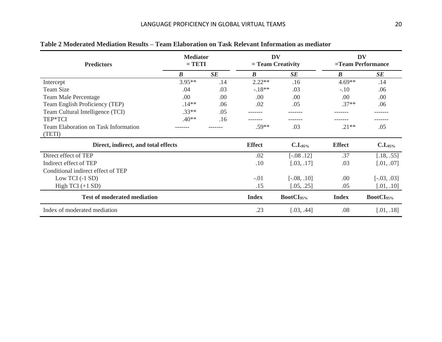| <b>Predictors</b>                           | <b>Mediator</b><br>$= TETI$ |     |                  | <b>DV</b><br>$=$ Team Creativity | <b>DV</b><br>=Team Performance |                       |  |
|---------------------------------------------|-----------------------------|-----|------------------|----------------------------------|--------------------------------|-----------------------|--|
|                                             | $\boldsymbol{B}$            | SE  | $\boldsymbol{B}$ | SE                               | $\boldsymbol{B}$               | SE                    |  |
| Intercept                                   | $3.95**$                    | .14 | $2.22**$         | .16                              | $4.69**$                       | .14                   |  |
| Team Size                                   | .04                         | .03 | $-18**$          | .03                              | $-.10$                         | .06                   |  |
| <b>Team Male Percentage</b>                 | .00                         | .00 | .00.             | .00.                             | .00                            | .00                   |  |
| Team English Proficiency (TEP)              | $.14**$                     | .06 | .02              | .05                              | $.37**$                        | .06                   |  |
| Team Cultural Intelligence (TCI)            | $.33**$                     | .05 |                  |                                  |                                |                       |  |
| TEP*TCI                                     | $.40**$                     | .16 |                  |                                  |                                |                       |  |
| <b>Team Elaboration on Task Information</b> |                             |     | $.59**$          | .03                              | $.21**$                        | .05                   |  |
| (TETI)                                      |                             |     |                  |                                  |                                |                       |  |
| Direct, indirect, and total effects         |                             |     | <b>Effect</b>    | C.I.95%                          | <b>Effect</b>                  | C.I.95%               |  |
| Direct effect of TEP                        |                             |     | .02              | $[-.08, .12]$                    | .37                            | [.18, .55]            |  |
| Indirect effect of TEP                      |                             |     | $.10\,$          | [.03, .17]                       | .03                            | [.01, .07]            |  |
| Conditional indirect effect of TEP          |                             |     |                  |                                  |                                |                       |  |
| Low TCI $(-1 SD)$                           |                             |     | $-.01$           | $[-.08, .10]$                    | .00                            | $[-.03, .03]$         |  |
| High TCI $(+1$ SD)                          |                             |     | .15              | [.05, .25]                       | .05                            | [.01, .10]            |  |
| <b>Test of moderated mediation</b>          |                             |     | <b>Index</b>     | BootCI <sub>95%</sub>            | <b>Index</b>                   | BootCI <sub>95%</sub> |  |
| Index of moderated mediation                |                             |     | .23              | [.03, .44]                       | .08                            | [.01, .18]            |  |

# **Table 2 Moderated Mediation Results – Team Elaboration on Task Relevant Information as mediator**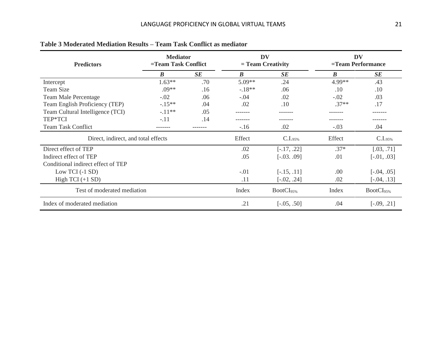| <b>Predictors</b>                   | <b>Mediator</b><br>=Team Task Conflict |     |                  | <b>DV</b><br>$=$ Team Creativity | DV<br>=Team Performance |                       |  |
|-------------------------------------|----------------------------------------|-----|------------------|----------------------------------|-------------------------|-----------------------|--|
|                                     | $\boldsymbol{B}$                       | SE  | $\boldsymbol{B}$ | SE                               | $\boldsymbol{B}$        | SE                    |  |
| Intercept                           | $1.63**$                               | .70 | $5.09**$         | .24                              | 4.99**                  | .43                   |  |
| Team Size                           | $.09**$                                | .16 | $-18**$          | .06                              | .10                     | .10                   |  |
| <b>Team Male Percentage</b>         | $-.02$                                 | .06 | $-.04$           | .02                              | $-.02$                  | .03                   |  |
| Team English Proficiency (TEP)      | $-.15**$                               | .04 | .02              | .10                              | $.37**$                 | .17                   |  |
| Team Cultural Intelligence (TCI)    | $-.11**$                               | .05 |                  |                                  |                         |                       |  |
| TEP*TCI                             | $-.11$                                 | .14 |                  |                                  |                         |                       |  |
| <b>Team Task Conflict</b>           | -------                                |     | $-.16$           | .02                              | $-.03$                  | .04                   |  |
| Direct, indirect, and total effects |                                        |     | Effect           | C.I.95%                          | Effect                  | C.I.95%               |  |
| Direct effect of TEP                |                                        |     | .02              | $[-.17, .22]$                    | $.37*$                  | [.03, .71]            |  |
| Indirect effect of TEP              |                                        |     | .05              | $[-.03, .09]$                    | .01                     | $[-.01, .03]$         |  |
| Conditional indirect effect of TEP  |                                        |     |                  |                                  |                         |                       |  |
| Low TCI $(-1 SD)$                   |                                        |     | $-.01$           | $[-.15, .11]$                    | .00                     | $[-.04, .05]$         |  |
| High TCI $(+1$ SD)                  |                                        |     | .11              | $[-.02, .24]$                    | .02                     | $[-.04, .13]$         |  |
| Test of moderated mediation         |                                        |     | Index            | BootCI <sub>95%</sub>            | Index                   | BootCI <sub>95%</sub> |  |
| Index of moderated mediation        |                                        |     | .21              | $[-.05, .50]$                    | .04                     | $[-.09, .21]$         |  |

# **Table 3 Moderated Mediation Results – Team Task Conflict as mediator**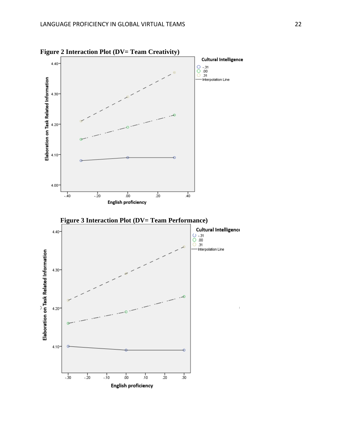

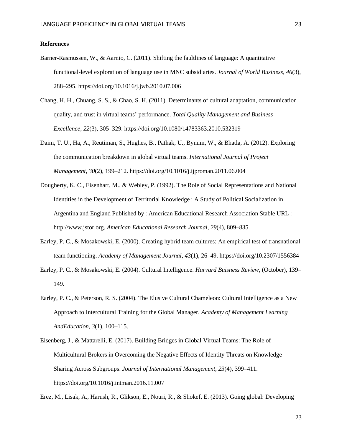# **References**

- Barner-Rasmussen, W., & Aarnio, C. (2011). Shifting the faultlines of language: A quantitative functional-level exploration of language use in MNC subsidiaries. *Journal of World Business*, *46*(3), 288–295. https://doi.org/10.1016/j.jwb.2010.07.006
- Chang, H. H., Chuang, S. S., & Chao, S. H. (2011). Determinants of cultural adaptation, communication quality, and trust in virtual teams' performance. *Total Quality Management and Business Excellence*, *22*(3), 305–329. https://doi.org/10.1080/14783363.2010.532319
- Daim, T. U., Ha, A., Reutiman, S., Hughes, B., Pathak, U., Bynum, W., & Bhatla, A. (2012). Exploring the communication breakdown in global virtual teams. *International Journal of Project Management*, *30*(2), 199–212. https://doi.org/10.1016/j.ijproman.2011.06.004
- Dougherty, K. C., Eisenhart, M., & Webley, P. (1992). The Role of Social Representations and National Identities in the Development of Territorial Knowledge : A Study of Political Socialization in Argentina and England Published by : American Educational Research Association Stable URL : http://www.jstor.org. *American Educational Research Journal*, *29*(4), 809–835.
- Earley, P. C., & Mosakowski, E. (2000). Creating hybrid team cultures: An empirical test of transnational team functioning. *Academy of Management Journal*, *43*(1), 26–49. https://doi.org/10.2307/1556384
- Earley, P. C., & Mosakowski, E. (2004). Cultural Intelligence. *Harvard Buisness Review*, (October), 139– 149.
- Earley, P. C., & Peterson, R. S. (2004). The Elusive Cultural Chameleon: Cultural Intelligence as a New Approach to Intercultural Training for the Global Manager. *Academy of Management Learning AndEducation*, *3*(1), 100–115.
- Eisenberg, J., & Mattarelli, E. (2017). Building Bridges in Global Virtual Teams: The Role of Multicultural Brokers in Overcoming the Negative Effects of Identity Threats on Knowledge Sharing Across Subgroups. *Journal of International Management*, *23*(4), 399–411. https://doi.org/10.1016/j.intman.2016.11.007

Erez, M., Lisak, A., Harush, R., Glikson, E., Nouri, R., & Shokef, E. (2013). Going global: Developing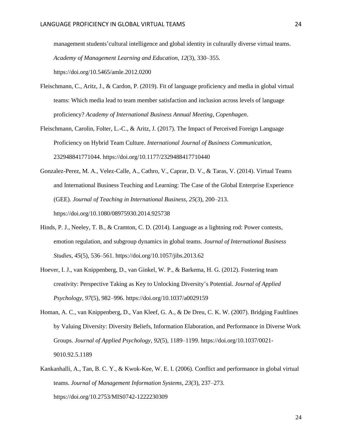management students'cultural intelligence and global identity in culturally diverse virtual teams. *Academy of Management Learning and Education*, *12*(3), 330–355. https://doi.org/10.5465/amle.2012.0200

Fleischmann, C., Aritz, J., & Cardon, P. (2019). Fit of language proficiency and media in global virtual teams: Which media lead to team member satisfaction and inclusion across levels of language

proficiency? *Academy of International Business Annual Meeting, Copenhagen*.

- Fleischmann, Carolin, Folter, L.-C., & Aritz, J. (2017). The Impact of Perceived Foreign Language Proficiency on Hybrid Team Culture. *International Journal of Business Communication*, 232948841771044. https://doi.org/10.1177/2329488417710440
- Gonzalez-Perez, M. A., Velez-Calle, A., Cathro, V., Caprar, D. V., & Taras, V. (2014). Virtual Teams and International Business Teaching and Learning: The Case of the Global Enterprise Experience (GEE). *Journal of Teaching in International Business*, *25*(3), 200–213. https://doi.org/10.1080/08975930.2014.925738
- Hinds, P. J., Neeley, T. B., & Cramton, C. D. (2014). Language as a lightning rod: Power contests, emotion regulation, and subgroup dynamics in global teams. *Journal of International Business Studies*, *45*(5), 536–561. https://doi.org/10.1057/jibs.2013.62
- Hoever, I. J., van Knippenberg, D., van Ginkel, W. P., & Barkema, H. G. (2012). Fostering team creativity: Perspective Taking as Key to Unlocking Diversity's Potential. *Journal of Applied Psychology*, *97*(5), 982–996. https://doi.org/10.1037/a0029159
- Homan, A. C., van Knippenberg, D., Van Kleef, G. A., & De Dreu, C. K. W. (2007). Bridging Faultlines by Valuing Diversity: Diversity Beliefs, Information Elaboration, and Performance in Diverse Work Groups. *Journal of Applied Psychology*, *92*(5), 1189–1199. https://doi.org/10.1037/0021- 9010.92.5.1189
- Kankanhalli, A., Tan, B. C. Y., & Kwok-Kee, W. E. I. (2006). Conflict and performance in global virtual teams. *Journal of Management Information Systems*, *23*(3), 237–273. https://doi.org/10.2753/MIS0742-1222230309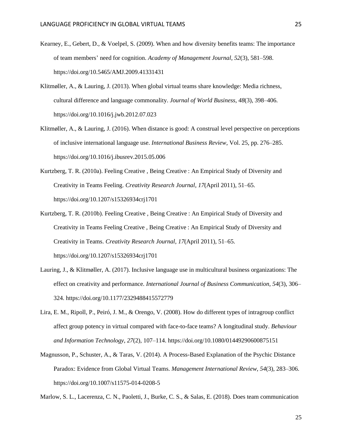- Kearney, E., Gebert, D., & Voelpel, S. (2009). When and how diversity benefits teams: The importance of team members' need for cognition. *Academy of Management Journal*, *52*(3), 581–598. https://doi.org/10.5465/AMJ.2009.41331431
- Klitmøller, A., & Lauring, J. (2013). When global virtual teams share knowledge: Media richness, cultural difference and language commonality. *Journal of World Business*, *48*(3), 398–406. https://doi.org/10.1016/j.jwb.2012.07.023
- Klitmøller, A., & Lauring, J. (2016). When distance is good: A construal level perspective on perceptions of inclusive international language use. *International Business Review*, Vol. 25, pp. 276–285. https://doi.org/10.1016/j.ibusrev.2015.05.006
- Kurtzberg, T. R. (2010a). Feeling Creative , Being Creative : An Empirical Study of Diversity and Creativity in Teams Feeling. *Creativity Research Journal*, *17*(April 2011), 51–65. https://doi.org/10.1207/s15326934crj1701
- Kurtzberg, T. R. (2010b). Feeling Creative , Being Creative : An Empirical Study of Diversity and Creativity in Teams Feeling Creative , Being Creative : An Empirical Study of Diversity and Creativity in Teams. *Creativity Research Journal*, *17*(April 2011), 51–65. https://doi.org/10.1207/s15326934crj1701
- Lauring, J., & Klitmøller, A. (2017). Inclusive language use in multicultural business organizations: The effect on creativity and performance. *International Journal of Business Communication*, *54*(3), 306– 324. https://doi.org/10.1177/2329488415572779
- Lira, E. M., Ripoll, P., Peiró, J. M., & Orengo, V. (2008). How do different types of intragroup conflict affect group potency in virtual compared with face-to-face teams? A longitudinal study. *Behaviour and Information Technology*, *27*(2), 107–114. https://doi.org/10.1080/01449290600875151
- Magnusson, P., Schuster, A., & Taras, V. (2014). A Process-Based Explanation of the Psychic Distance Paradox: Evidence from Global Virtual Teams. *Management International Review*, *54*(3), 283–306. https://doi.org/10.1007/s11575-014-0208-5

Marlow, S. L., Lacerenza, C. N., Paoletti, J., Burke, C. S., & Salas, E. (2018). Does team communication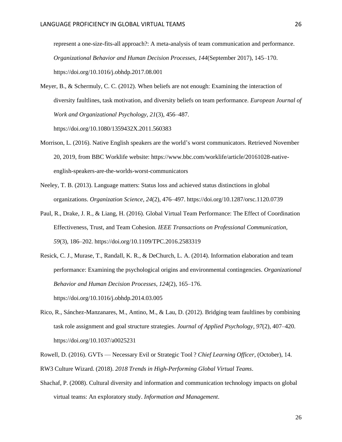represent a one-size-fits-all approach?: A meta-analysis of team communication and performance. *Organizational Behavior and Human Decision Processes*, *144*(September 2017), 145–170. https://doi.org/10.1016/j.obhdp.2017.08.001

Meyer, B., & Schermuly, C. C. (2012). When beliefs are not enough: Examining the interaction of diversity faultlines, task motivation, and diversity beliefs on team performance. *European Journal of Work and Organizational Psychology*, *21*(3), 456–487.

https://doi.org/10.1080/1359432X.2011.560383

- Morrison, L. (2016). Native English speakers are the world's worst communicators. Retrieved November 20, 2019, from BBC Worklife website: https://www.bbc.com/worklife/article/20161028-nativeenglish-speakers-are-the-worlds-worst-communicators
- Neeley, T. B. (2013). Language matters: Status loss and achieved status distinctions in global organizations. *Organization Science*, *24*(2), 476–497. https://doi.org/10.1287/orsc.1120.0739
- Paul, R., Drake, J. R., & Liang, H. (2016). Global Virtual Team Performance: The Effect of Coordination Effectiveness, Trust, and Team Cohesion. *IEEE Transactions on Professional Communication*, *59*(3), 186–202. https://doi.org/10.1109/TPC.2016.2583319
- Resick, C. J., Murase, T., Randall, K. R., & DeChurch, L. A. (2014). Information elaboration and team performance: Examining the psychological origins and environmental contingencies. *Organizational Behavior and Human Decision Processes*, *124*(2), 165–176. https://doi.org/10.1016/j.obhdp.2014.03.005
- Rico, R., Sánchez-Manzanares, M., Antino, M., & Lau, D. (2012). Bridging team faultlines by combining task role assignment and goal structure strategies. *Journal of Applied Psychology*, *97*(2), 407–420. https://doi.org/10.1037/a0025231
- Rowell, D. (2016). GVTs Necessary Evil or Strategic Tool ? *Chief Learning Officer*, (October), 14.

RW3 Culture Wizard. (2018). *2018 Trends in High-Performing Global Virtual Teams*.

Shachaf, P. (2008). Cultural diversity and information and communication technology impacts on global virtual teams: An exploratory study. *Information and Management*.